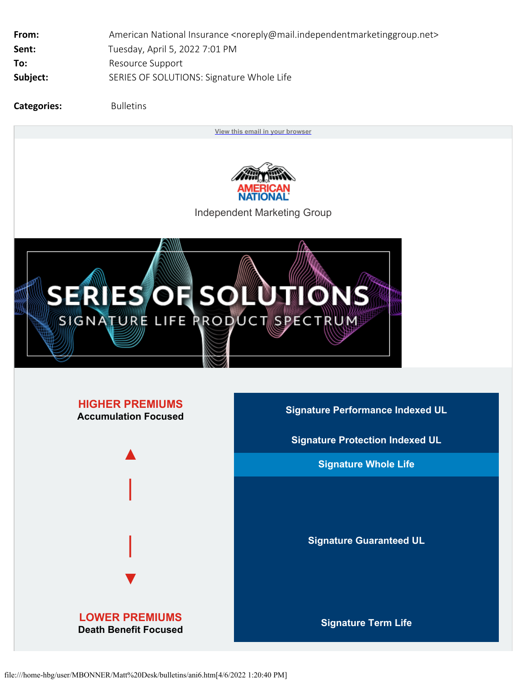| From:    | American National Insurance <noreply@mail.independentmarketinggroup.net></noreply@mail.independentmarketinggroup.net> |
|----------|-----------------------------------------------------------------------------------------------------------------------|
| Sent:    | Tuesday, April 5, 2022 7:01 PM                                                                                        |
| To:      | Resource Support                                                                                                      |
| Subject: | SERIES OF SOLUTIONS: Signature Whole Life                                                                             |
|          |                                                                                                                       |

**Categories:** Bulletins

**[View this](http://view.mail.independentmarketinggroup.net/?qs=6a97d6996f2baf18a89641358e606a1485c02643be6bc46541f92d3f30909e404cedc9f42845724e935e10e6f0bd758a145f9a11d715c7f50d73dcb3cd625620738b5f211099fbe42fd9ab2eb6469ed0) [email in your browser](http://view.mail.independentmarketinggroup.net/?qs=6a97d6996f2baf18a89641358e606a1485c02643be6bc46541f92d3f30909e404cedc9f42845724e935e10e6f0bd758a145f9a11d715c7f50d73dcb3cd625620738b5f211099fbe42fd9ab2eb6469ed0)**



Independent Marketing Group



## **HIGHER PREMIUMS**



**LOWER PREMIUMS Death Benefit Focused Signature Term Life**

**Accumulation Focused Signature Performance Indexed UL**

**Signature Protection Indexed UL**

**Signature Whole Life**

**Signature Guaranteed UL**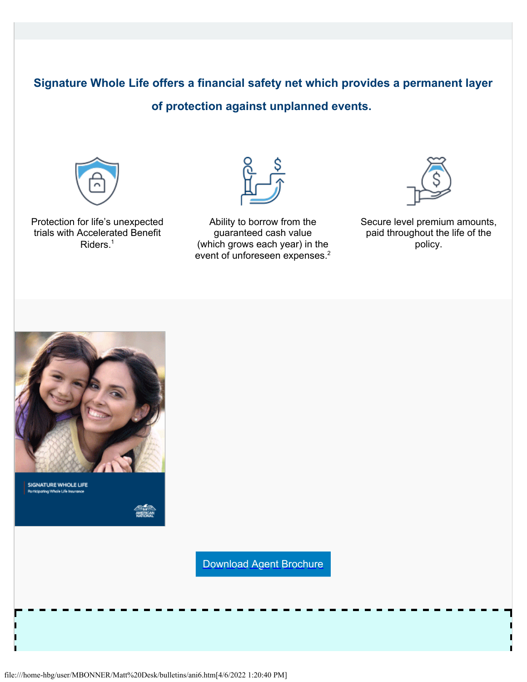## **Signature Whole Life offers a financial safety net which provides a permanent layer**

## **of protection against unplanned events.**



Protection for life's unexpected trials with Accelerated Benefit Riders.<sup>1</sup>



Ability to borrow from the guaranteed cash value (which grows each year) in the event of unforeseen expenses.<sup>2</sup>



Secure level premium amounts, paid throughout the life of the policy.



SIGNATURE WHOLE LIFE ticipating Whole Life Insu

[Download Agent Brochure](http://click.mail.independentmarketinggroup.net/?qs=8fc401c2e982c917bb27569d80e3a3a063196d5848d67a7eb8d04296cf675cde3534b001708eb054ab5c5bb0e1010000edeb4e4e59d7c908)